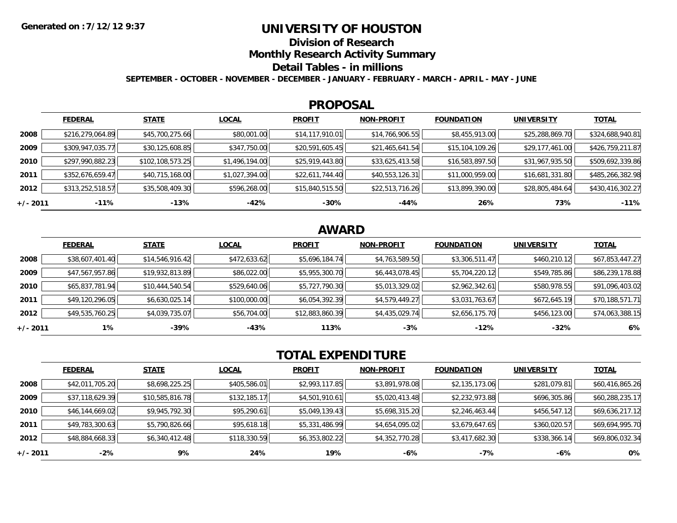## **UNIVERSITY OF HOUSTON**

**Division of Research**

**Monthly Research Activity Summary**

#### **Detail Tables - in millions**

**SEPTEMBER - OCTOBER - NOVEMBER - DECEMBER - JANUARY - FEBRUARY - MARCH - APRIL - MAY - JUNE**

#### **PROPOSAL**

|            | <b>FEDERAL</b>   | <b>STATE</b>       | <b>LOCAL</b>   | <b>PROFIT</b>   | <b>NON-PROFIT</b> | <b>FOUNDATION</b> | <b>UNIVERSITY</b> | <u>TOTAL</u>     |
|------------|------------------|--------------------|----------------|-----------------|-------------------|-------------------|-------------------|------------------|
| 2008       | \$216,279,064.89 | \$45,700,275.66    | \$80,001.00    | \$14,117,910.01 | \$14,766,906.55   | \$8,455,913.00    | \$25,288,869.70   | \$324,688,940.81 |
| 2009       | \$309,947,035.77 | \$30,125,608.85    | \$347,750.00   | \$20,591,605.45 | \$21,465,641.54   | \$15,104,109.26   | \$29,177,461.00   | \$426,759,211.87 |
| 2010       | \$297,990,882.23 | \$102, 108, 573.25 | \$1,496,194.00 | \$25,919,443.80 | \$33,625,413.58   | \$16,583,897.50   | \$31,967,935.50   | \$509,692,339.86 |
| 2011       | \$352,676,659.47 | \$40,715,168.00    | \$1,027,394.00 | \$22,611,744.40 | \$40,553,126.31   | \$11,000,959.00   | \$16,681,331.80   | \$485,266,382.98 |
| 2012       | \$313,252,518.57 | \$35,508,409.30    | \$596,268.00   | \$15,840,515.50 | \$22,513,716.26   | \$13,899,390.00   | \$28,805,484.64   | \$430,416,302.27 |
| $+/- 2011$ | $-11%$           | -13%               | $-42%$         | $-30%$          | -44%              | 26%               | 73%               | $-11%$           |

# **AWARD**

|          | <b>FEDERAL</b>  | <b>STATE</b>    | <b>LOCAL</b> | <b>PROFIT</b>   | <b>NON-PROFIT</b> | <b>FOUNDATION</b> | <b>UNIVERSITY</b> | <u>TOTAL</u>    |
|----------|-----------------|-----------------|--------------|-----------------|-------------------|-------------------|-------------------|-----------------|
| 2008     | \$38,607,401.40 | \$14,546,916.42 | \$472,633.62 | \$5,696,184.74  | \$4,763,589.50    | \$3,306,511.47    | \$460,210.12      | \$67,853,447.27 |
| 2009     | \$47,567,957.86 | \$19,932,813.89 | \$86,022.00  | \$5,955,300.70  | \$6,443,078.45    | \$5,704,220.12    | \$549,785.86      | \$86,239,178.88 |
| 2010     | \$65,837,781.94 | \$10,444,540.54 | \$529,640.06 | \$5,727,790.30  | \$5,013,329.02    | \$2,962,342.61    | \$580,978.55      | \$91,096,403.02 |
| 2011     | \$49,120,296.05 | \$6,630,025.14  | \$100,000.00 | \$6,054,392.39  | \$4,579,449.27    | \$3,031,763.67    | \$672,645.19      | \$70,188,571.71 |
| 2012     | \$49,535,760.25 | \$4,039,735.07  | \$56,704.00  | \$12,883,860.39 | \$4,435,029.74    | \$2,656,175.70    | \$456,123.00      | \$74,063,388.15 |
| +/- 2011 | $1\%$           | -39%            | -43%         | 113%            | $-3%$             | $-12%$            | $-32%$            | 6%              |

# **TOTAL EXPENDITURE**

|            | <b>FEDERAL</b>  | <b>STATE</b>    | <b>LOCAL</b> | <b>PROFIT</b>  | <b>NON-PROFIT</b> | <b>FOUNDATION</b> | <b>UNIVERSITY</b> | <b>TOTAL</b>    |
|------------|-----------------|-----------------|--------------|----------------|-------------------|-------------------|-------------------|-----------------|
| 2008       | \$42,011,705.20 | \$8,698,225.25  | \$405,586.01 | \$2,993,117.85 | \$3,891,978.08    | \$2,135,173.06    | \$281,079.81      | \$60,416,865.26 |
| 2009       | \$37,118,629.39 | \$10,585,816.78 | \$132,185.17 | \$4,501,910.61 | \$5,020,413.48    | \$2,232,973.88    | \$696,305.86      | \$60,288,235.17 |
| 2010       | \$46,144,669.02 | \$9,945,792.30  | \$95,290.61  | \$5,049,139.43 | \$5,698,315.20    | \$2,246,463.44    | \$456,547.12      | \$69,636,217.12 |
| 2011       | \$49,783,300.63 | \$5,790,826.66  | \$95,618.18  | \$5,331,486.99 | \$4,654,095.02    | \$3,679,647.65    | \$360,020.57      | \$69,694,995.70 |
| 2012       | \$48,884,668.33 | \$6,340,412.48  | \$118,330.59 | \$6,353,802.22 | \$4,352,770.28    | \$3,417,682.30    | \$338,366.14      | \$69,806,032.34 |
| $+/- 2011$ | $-2%$           | 9%              | 24%          | 19%            | $-6%$             | $-7%$             | -6%               | 0%              |